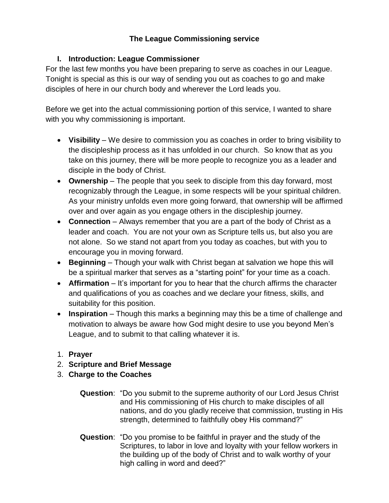## **The League Commissioning service**

## **I. Introduction: League Commissioner**

For the last few months you have been preparing to serve as coaches in our League. Tonight is special as this is our way of sending you out as coaches to go and make disciples of here in our church body and wherever the Lord leads you.

Before we get into the actual commissioning portion of this service, I wanted to share with you why commissioning is important.

- **Visibility**  We desire to commission you as coaches in order to bring visibility to the discipleship process as it has unfolded in our church. So know that as you take on this journey, there will be more people to recognize you as a leader and disciple in the body of Christ.
- **Ownership** The people that you seek to disciple from this day forward, most recognizably through the League, in some respects will be your spiritual children. As your ministry unfolds even more going forward, that ownership will be affirmed over and over again as you engage others in the discipleship journey.
- **Connection** Always remember that you are a part of the body of Christ as a leader and coach. You are not your own as Scripture tells us, but also you are not alone. So we stand not apart from you today as coaches, but with you to encourage you in moving forward.
- **Beginning** Though your walk with Christ began at salvation we hope this will be a spiritual marker that serves as a "starting point" for your time as a coach.
- **Affirmation** It's important for you to hear that the church affirms the character and qualifications of you as coaches and we declare your fitness, skills, and suitability for this position.
- **Inspiration** Though this marks a beginning may this be a time of challenge and motivation to always be aware how God might desire to use you beyond Men's League, and to submit to that calling whatever it is.
- 1. **Prayer**
- 2. **Scripture and Brief Message**
- 3. **Charge to the Coaches**
	- **Question**: "Do you submit to the supreme authority of our Lord Jesus Christ and His commissioning of His church to make disciples of all nations, and do you gladly receive that commission, trusting in His strength, determined to faithfully obey His command?"
	- **Question**: "Do you promise to be faithful in prayer and the study of the Scriptures, to labor in love and loyalty with your fellow workers in the building up of the body of Christ and to walk worthy of your high calling in word and deed?"